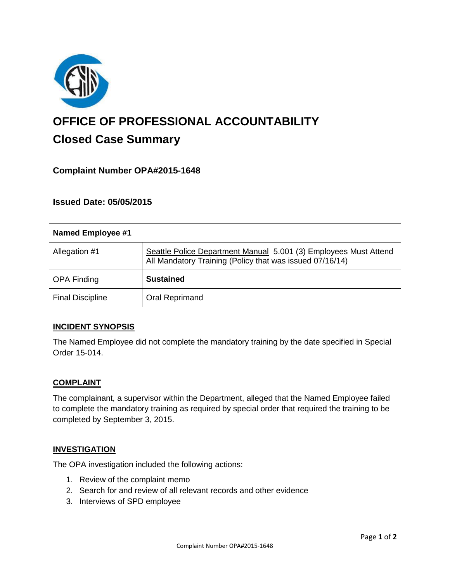

# **OFFICE OF PROFESSIONAL ACCOUNTABILITY Closed Case Summary**

# **Complaint Number OPA#2015-1648**

## **Issued Date: 05/05/2015**

| <b>Named Employee #1</b> |                                                                                                                              |
|--------------------------|------------------------------------------------------------------------------------------------------------------------------|
| Allegation #1            | Seattle Police Department Manual 5.001 (3) Employees Must Attend<br>All Mandatory Training (Policy that was issued 07/16/14) |
| <b>OPA Finding</b>       | <b>Sustained</b>                                                                                                             |
| <b>Final Discipline</b>  | Oral Reprimand                                                                                                               |

## **INCIDENT SYNOPSIS**

The Named Employee did not complete the mandatory training by the date specified in Special Order 15-014.

#### **COMPLAINT**

The complainant, a supervisor within the Department, alleged that the Named Employee failed to complete the mandatory training as required by special order that required the training to be completed by September 3, 2015.

#### **INVESTIGATION**

The OPA investigation included the following actions:

- 1. Review of the complaint memo
- 2. Search for and review of all relevant records and other evidence
- 3. Interviews of SPD employee